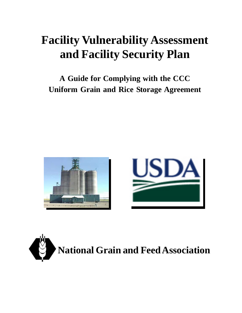### **Facility Vulnerability Assessment and Facility Security Plan**

**A Guide for Complying with the CCC Uniform Grain and Rice Storage Agreement**





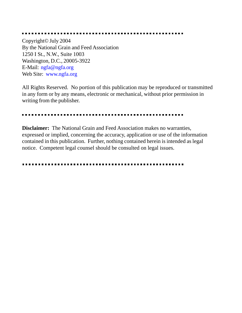Copyright© July 2004 By the National Grain and Feed Association 1250 I St., N.W., Suite 1003 Washington, D.C., 20005-3922 E-Mail: ngfa@ngfa.org Web Site: www.ngfa.org

All Rights Reserved. No portion of this publication may be reproduced or transmitted in any form or by any means, electronic or mechanical, without prior permission in writing from the publisher.

**Disclaimer:** The National Grain and Feed Association makes no warranties, expressed or implied, concerning the accuracy, application or use of the information contained in this publication. Further, nothing contained herein is intended as legal notice. Competent legal counsel should be consulted on legal issues.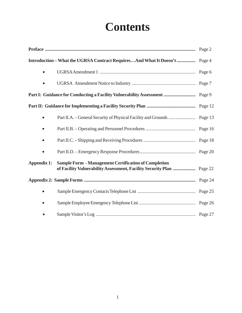### **Contents**

|             | Introduction - What the UGRSA Contract RequiresAnd What It Doesn't  Page 4 |        |
|-------------|----------------------------------------------------------------------------|--------|
| $\bullet$   |                                                                            |        |
|             |                                                                            |        |
|             | Part I: Guidance for Conducting a Facility Vulnerability Assessment        | Page 9 |
|             |                                                                            |        |
|             |                                                                            |        |
|             |                                                                            |        |
|             |                                                                            |        |
|             |                                                                            |        |
| Appendix 1: | <b>Sample Form - Management Certification of Completion</b>                |        |
|             |                                                                            |        |
|             |                                                                            |        |
|             |                                                                            |        |
|             |                                                                            |        |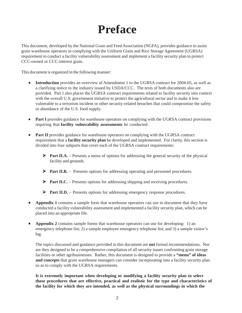### **Preface**

This document, developed by the National Grain and Feed Association (NGFA), provides guidance to assist grain warehouse operators in complying with the Uniform Grain and Rice Storage Agreement (UGRSA) requirement to conduct a facility vulnerability assessment and implement a facility security plan to protect CCC-owned or CCC-interest grain.

This document is organized in the following manner:

- **Introduction** provides an overview of Amendment 1 to the UGRSA contract for 2004-05, as well as a clarifying notice to the industry issued by USDA/CCC. The texts of both documents also are provided. Part I also places the UGRSA contract requirements related to facility security into context with the overall U.S. government initiative to protect the agricultural sector and to make it less vulnerable to a terrorism incident or other security-related breaches that could compromise the safety or abundance of the U.S. food supply.
- **Part I** provides guidance for warehouse operators on complying with the UGRSA contract provisions requiring that **facility vulnerability assessments** be conducted.
- **Part II** provides guidance for warehouse operators on complying with the UGRSA contract requirement that a **facility security plan** be developed and implemented. For clarity, this section is divided into four subparts that cover each of the UGRSA contract requirements:
	- ¾ **Part II.A.** Presents a menu of options for addressing the general security of the physical facility and grounds.
	- ¾ **Part II.B.** Presents options for addressing operating and personnel procedures.
	- ¾ **Part II.C.** Presents options for addressing shipping and receiving procedures.
	- ¾ **Part II.D.** Presents options for addressing emergency response procedures.
- **Appendix 1** contains a sample form that warehouse operators can use to document that they have conducted a facility vulnerability assessment and implemented a facility security plan, which can be placed into an appropriate file.
- **Appendix 2** contains sample forms that warehouse operators can use for developing: 1) an emergency telephone list; 2) a sample employee emergency telephone list; and 3) a sample visitor's log.

The topics discussed and guidance provided in this document are **not** formal recommendations. Nor are they designed to be a comprehensive compilation of all security issues confronting grain storage facilities or other agribusinesses. Rather, this document is designed to provide a **"menu" of ideas and concepts** that grain warehouse managers can consider incorporating into a facility security plan so as to comply with the UGRSA requirements.

**It is extremely important when developing or modifying a facility security plan to select those procedures that are effective, practical and realistic for the type and characteristics of the facility for which they are intended, as well as the physical surroundings in which the**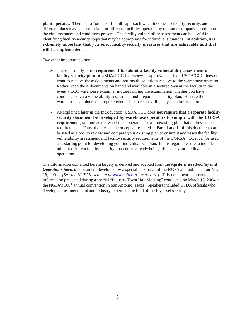**plant operates.** There is no "one-size-fits-all" approach when it comes to facility security, and different plans may be appropriate for different facilities operated by the same company based upon the circumstances and conditions present. The facility vulnerability assessment can be useful in identifying facility-security steps that may be appropriate for individual situations. **In addition, it is extremely important that you select facility-security measures that are achievable and that will be implemented.**

Two other important points:

- ¾ There currently is **no requirement to submit a facility vulnerability assessment or facility security plan to USDA/CCC** for review or approval. In fact, USDA/CCC does not want to receive these documents and returns those it does receive to the warehouse operator. Rather, keep these documents on hand and available in a secured area at the facility in the event a CCC warehouse examiner inquires during the examination whether you have conducted such a vulnerability assessment and prepared a security plan. Be sure the warehouse examiner has proper credentials before providing any such information.
- ¾ As explained later in the Introduction, USDA/CCC does **not require that a separate facility security document be developed by warehouse operators to comply with the UGRSA requirement**, so long as the warehouse operator has a preexisting plan that addresses the requirements. Thus, the ideas and concepts presented in Parts I and II of this document can be used as a tool to review and compare your existing plan to ensure it addresses the facility vulnerability assessment and facility security requirements of the UGRSA. Or, it can be used as a starting point for developing your individualized plan. In this regard, be sure to include other or different facility-security procedures already being utilized at your facility and its operations.

The information contained herein largely is derived and adapted from the *Agribusiness Facility and Operations Security* document developed by a special task force of the NGFA and published on Nov. 16, 2001*. [See the NGFA's web site at www.ngfa.org for a copy.]* This document also contains information presented during a special "Industry Town Hall Meeting" conducted on March 15, 2004 at the NGFA's 108th annual convention in San Antonio, Texas. Speakers included USDA officials who developed the amendment and industry experts in the field of facility asset security.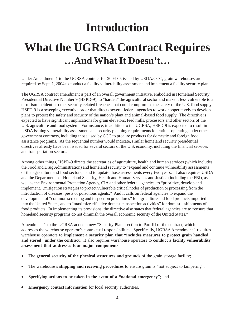### **Introduction**

### **What the UGRSA Contract Requires …And What It Doesn't…**

Under Amendment 1 to the UGRSA contract for 2004-05 issued by USDA/CCC, grain warehouses are required by Sept. 1, 2004 to conduct a facility vulnerability assessment and implement a facility security plan.

The UGRSA contract amendment is part of an overall government initiative, embodied in Homeland Security Presidential Directive Number 9 (HSPD-9), to "harden" the agricultural sector and make it less vulnerable to a terrorism incident or other security-related breaches that could compromise the safety of the U.S. food supply. HSPD-9 is a sweeping executive order that directs several federal agencies to work cooperatively to develop plans to protect the safety and security of the nation's plant and animal-based food supply. The directive is expected to have significant implications for grain elevators, feed mills, processors and other sectors of the U.S. agriculture and food system. For instance, in addition to the UGRSA, HSPD-9 is expected to result in USDA issuing vulnerability assessment and security planning requirements for entities operating under other government contracts, including those used by CCC to procure products for domestic and foreign food assistance programs. As the sequential number would indicate, similar homeland security presidential directives already have been issued for several sectors of the U.S. economy, including the financial services and transportation sectors.

Among other things, HSPD-9 directs the secretaries of agriculture, health and human services (which includes the Food and Drug Administration) and homeland security to "expand and continue vulnerability assessments of the agriculture and food sectors," and to update those assessments every two years. It also requires USDA and the Departments of Homeland Security, Health and Human Services and Justice (including the FBI), as well as the Environmental Protection Agency, CIA and other federal agencies, to "prioritize, develop and implement…mitigation strategies to protect vulnerable critical nodes of production or processing from the introduction of diseases, pests or poisonous agents." And it calls on federal agencies to expand the development of "common screening and inspection procedures" for agriculture and food products imported into the United States, and to "maximize effective domestic inspection activities" for domestic shipments of food products. In implementing its provisions, the directive also states that federal agencies are to "ensure that homeland security programs do not diminish the overall economic security of the United States."

Amendment 1 to the UGRSA added a new "Security Plan" section to Part III of the contract, which addresses the warehouse operator's contractual responsibilities. Specifically, UGRSA Amendment 1 requires warehouse operators to **implement a security plan that "includes measures to protect grain handled and stored" under the contract**. It also requires warehouse operators to **conduct a facility vulnerability assessment that addresses four major components**:

- The **general security of the physical structures and grounds** of the grain storage facility;
- The warehouse's **shipping and receiving procedures** to ensure grain is "not subject to tampering";
- Specifying **actions to be taken in the event of a "national emergency"**; and
- **Emergency contact information** for local security authorities.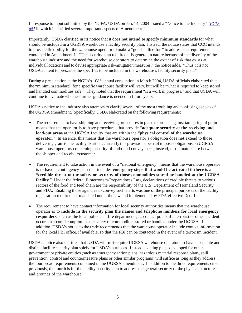In response to input submitted by the NGFA, USDA on Jan. 14, 2004 issued a "Notice to the Industry" *[BCD-65]* in which it clarified several important aspects of Amendment 1.

Importantly, USDA clarified in its notice that it does **not intend to specify minimum standards** for what should be included in a UGRSA warehouse's facility security plan. Instead, the notice states that CCC intends to provide flexibility for the warehouse operator to make a "good-faith effort" to address the requirements contained in Amendment 1. "The security plan required…is general in nature because of the diversity of the warehouse industry and the need for warehouse operators to determine the extent of risk that exists at individual locations and to devise appropriate risk-mitigation measures," the notice adds. "Thus, it is not USDA's intent to prescribe the specifics to be included in the warehouse's facility security plan."

During a presentation at the NGFA's 108<sup>th</sup> annual convention in March 2004, USDA officials elaborated that the "minimum standard" for a specific warehouse facility will vary, but will be "what is required to keep stored and handled commodities safe." They noted that the requirement "is a work in progress," and that USDA will continue to evaluate whether further guidance is needed in future years.

USDA's notice to the industry also attempts to clarify several of the most troubling and confusing aspects of the UGRSA amendment. Specifically, USDA elaborated on the following requirements:

- The requirement to have shipping and receiving procedures in place to protect against tampering of grain means that the operator is to have procedures that provide "**adequate security at the receiving and load-out areas** at the UGRSA facility that are within the "**physical control of the warehouse operator**." In essence, this means that the warehouse operator's obligation does **not** extend to those delivering grain to the facility. Further, currently this provision does **not** impose obligations on UGRSA warehouse operators concerning security of outbound conveyances; instead, those matters are between the shipper and receiver/customer.
- The requirement to take action in the event of a "national emergency" means that the warehouse operator is to have a contingency plan that includes **emergency steps that would be activated if there is a "credible threat to the safety or security of those commodities stored or handled at the UGRSA facility**." Under the federal Bioterrorism-Preparedness Law, declarations of credible threats to various sectors of the food and feed chain are the responsibility of the U.S. Department of Homeland Security and FDA. Enabling those agencies to convey such alerts was one of the principal purposes of the facility registration requirement mandated under the law and implemented by FDA effective Dec. 12.
- The requirement to have contact information for local security authorities means that the warehouse operator is to **include in the security plan the names and telephone numbers for local emergency responders**, such as the local police and fire departments, as contact points if a terrorist or other incident occurs that could compromise the safety of commodities stored or handled under the UGRSA. In addition, USDA's notice to the trade recommends that the warehouse operator include contact information for the local FBI office, if available, so that the FBI can be contacted in the event of a terrorism incident.

USDA's notice also clarifies that USDA will **not** require UGRSA warehouse operators to have a separate and distinct facility security plan solely for USDA's purposes. Instead, existing plans developed for other government or private entities (such as emergency action plans, hazardous material response plans, spill prevention, control and countermeasure plans or other similar programs) will suffice as long as they address the four broad requirements contained in the UGRSA amendment. In addition to the three requirements cited previously, the fourth is for the facility security plan to address the general security of the physical structures and grounds of the warehouse.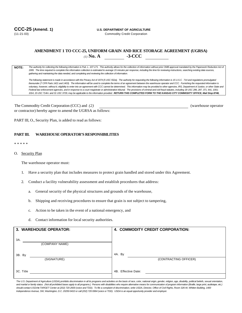#### **CCC-25 (Amend. 1) U.S. DEPARTMENT OF AGRICULTURE**

#### **AMENDMENT 1 TO CCC-25, UNIFORM GRAIN AND RICE STORAGE AGREEMENT (UGRSA)** *(1)* **No. A -3-CCC**

**NOTE:** *The authority for collecting the following information is Pub. L. 107-171. This authority allows for the collection of information without prior OMB approval mandated by the Paperwork Reduction Act of 1995. The time required to complete this information collection is estimated to average 15 minutes per response, including the time for reviewing instructions, searching existing data sources, gathering and maintaining the data needed, and completing and reviewing the collection of information.*

*The following statement is made in accordance with the Privacy Act of 1974 (5 USC 552a). The authority for requesting the following information is 15 U.S.C. 714 and regulations promulgated thereunder (7 CFR Parts 1421 and 1403). The information will be used to complete the terms of an agreement between the warehouse operator and CCC. Furnishing the requested information is voluntary, however, without it, eligibility to enter into an agreement with CCC cannot be determined. This information may be provided to other agencies, IRS, Department of Justice, or other State and* Federal law enforcement agencies, and in response to a court magistrate or administrative tribunal. The provisions of criminal and civil fraud statutes, including 18 USC 286, 287, 371, 641, 1001; 1014, 15 USC 714m: and 31 USC 3729, may be applicable to the information provided. RETURN THIS COMPLETED FORM TO THE KANSAS CITY COMMODITY OFFICE, Mail Stop 8748,

The Commodity Credit Corporation (CCC) and *(2)* (warehouse operator or contractor) hereby agree to amend the UGRSA as follows:

PART III, O., Security Plan, is added to read as follows:

#### **PART III. WAREHOUSE OPERATOR'S RESPONSIBILITIES**

\* \* \* \* \*

O. Security Plan

The warehouse operator must:

- 1. Have a security plan that includes measures to protect grain handled and stored under this Agreement.
- 2. Conduct a facility vulnerability assessment and establish procedures that address:
	- a. General security of the physical structures and grounds of the warehouse,
	- b. Shipping and receiving procedures to ensure that grain is not subject to tampering,
	- c. Action to be taken in the event of a national emergency, and
	- d. Contact information for local security authorities.

| 3. WAREHOUSE OPERATOR: | 4. COMMODITY CREDIT CORPORATION: |  |  |  |  |  |
|------------------------|----------------------------------|--|--|--|--|--|
| 3A.<br>(COMPANY NAME)  |                                  |  |  |  |  |  |
| 3B. By<br>(SIGNATURE)  | 4A. By<br>(CONTRACTING OFFICER)  |  |  |  |  |  |
| 3C. Title              | 4B. Effective Date:              |  |  |  |  |  |

The U.S. Department of Agriculture (USDA) prohibits discrimination in all its programs and activities on the basis of race, color, national origin, gender, religion, age, disability, political beliefs, sexual orientation, *and marital or family status. (Not all prohibited bases apply to all programs.) Persons with disabilities who require alternative means for communication of program information (Braille, large print, audiotape, etc.) should contact USDA=s TARGET Center at (202) 720-2600 (voice and TDD). To file a complaint of discrimination, write USDA, Director, Office of Civil Rights, Room 326-W, Whitten Building, 1400 Independence Avenue, SW, Washington, D.C. 20250-9410 or call (202) 720-5964 (voice or TDD). USDA is an equal opportunity provider and employer.*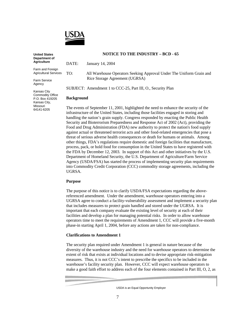

**United States Department of the American Agriculture**

Farm and Foreign<br>Agricultural Services TO: Agricultural Services

Farm Service<br>Adency Agency

Kansas City<br>Commodity Office P.O. Box 419205 Kansas City, Missouri 64141-6205

#### **NOTICE TO THE INDUSTRY – BCD - 65**

 $\sum_{i=1}^{n}$ 

All Warehouse Operators Seeking Approval Under The Uniform Grain and Rice Storage Agreement (UGRSA)  $R_{\rm B}$  and  $R_{\rm B}$  and  $R_{\rm B}$ 

SUBJECT: Amendment 1 to CCC-25, Part III, O., Security Plan

#### **Background**

The events of September 11, 2001, highlighted the need to enhance the security of the handling the nation's grain supply. Congress responded by enacting the Public Health Security and Bioterrorism Preparedness and Response Act of 2002 (Act), providing the Food and Drug Administration (FDA) new authority to protect the nation's food supply<br>against actual or threatened terrorist acts and other food-related emergencies that nose a against actual or threatened terrorist acts and other food-related emergencies that pose a threat of serious adverse health consequences or death for humans or animals. Among other things. FDA's regulations require domestic and foreign facilities that manufacture. process, pack, or hold food for consumption in the United States to have registered with the FDA by December 12, 2003. In support of this Act and other initiatives by the U.S. Department of Homeland Security, the U.S. Department of Agriculture/Farm Service Agency (USDA/FSA) has started the process of implementing security plan requirements Agency (USDA/FSA) has started the process of implementing security plan requirements into Commodity Credit Corporation (CCC) commodity storage agreements, including the UG<del>rsa.</del><br>Uga

#### **Purpose**

The purpose of this notice is to clarify USDA/FSA expectations regarding the above-<br>referenced amendment. Under the amendment, warehouse operators entering into a UGRSA agree to conduct a facility-vulnerability assessment and implement a security plan that includes measures to protect grain handled and stored under the UGRSA. It is important that each company evaluate the existing level of security at each of their facilities and develop a plan for managing potential risks. In order to allow warehouse operators time to meet the requirements of Amendment 1, CCC will provide a five-month phase-in starting April 1, 2004, before any actions are taken for non-compliance.  $\beta$  and  $\beta$  and  $\beta$  and  $\beta$  and  $\beta$  are taken for non-compliance.

#### **Clarifications to Amendment 1**

The security plan required under Amendment 1 is general in nature because of the diversity of the warehouse industry and the need for warehouse operators to determine the extent of risk that exists at individual locations and to devise appropriate risk-mitigation measures. Thus, it is not CCC's intent to prescribe the specifics to be included in the warehouse's facility security plan. However, CCC will expect warehouse operators to make a good faith effort to address each of the four elements contained in Part III,  $O$ ,  $2$ , as make a good faith effort to address each of the four elements contained in Part II,  $\frac{1}{2}$ ,  $\frac{1}{2}$ ,  $\frac{1}{2}$ 

 $\sum_{i=1}^{n}$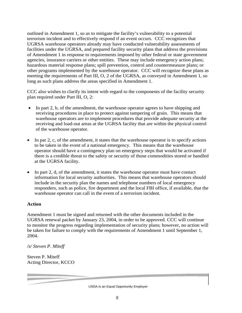outlined in Amendment 1, so as to mitigate the facility's vulnerability to a potential terrorism incident and to effectively respond if an event occurs. CCC recognizes that UGRSA warehouse operators already may have conducted vulnerability assessments of facilities under the UGRSA, and prepared facility security plans that address the provisions of Amendment 1 in response to requirements imposed by other federal or state government agencies, insurance carriers or other entities. These may include emergency action plans; hazardous material response plans; spill prevention, control and countermeasure plans; or other programs implemented by the warehouse operator. CCC will recognize these plans as meeting the requirements of Part III,  $O$ , 2 of the UGRSA, as conveyed in Amendment 1, so long as such plans address the areas specified in Amendment 1. long as such plans address the areas specified in Amendment 1.

CCC also wishes to clarify its intent with regard to the components of the facility security plan required under Part III,  $O$ ,  $2$ : plan required under Part III,  $\sigma$ ,  $\sigma$ 

- In part 2, b, of the amendment, the warehouse operator agrees to have shipping and receiving procedures in place to protect against tampering of grain. This means that warehouse operators are to implement procedures that provide adequate security at the receiving and load-out areas at the UGRSA facility that are within the physical control of the warehouse operator. of the warehouse operator.
- In par 2, c, of the amendment, it states that the warehouse operator is to specify actions to be taken in the event of a national emergency. This means that the warehouse operator should have a contingency plan on emergency steps that would be activated if there is a credible threat to the safety or security of those commodities stored or handled at the UGRSA facility. at the UGRSA facility.
- In part 2, d, of the amendment, it states the warehouse operator must have contact information for local security authorities. This means that warehouse operators should include in the security plan the names and telephone numbers of local emergency responders, such as police, fire department and the local FBI office, if available, that the  $r_{\text{r}}$  as police, fire department and the local  $\frac{1}{2}$  of the local FBI of a terrorism incident. warehouse operator can call in the event of a terrorism incident.

Amendment 1 must be signed and returned with the other documents included in the UGRSA renewal packet by January 23, 2004, in order to be approved. CCC will continue to monitor the progress regarding implementation of security plans; however, no action will be taken for failure to comply with the requirements of Amendment 1 until September 1,  $\frac{1}{1}$ ure to comply with the requirements of  $\frac{1}{1}$  until  $\frac{1}{1}$  until  $\frac{1}{1}$  until  $\frac{1}{1}$  until  $\frac{1}{2}$  until  $\frac{1}{2}$  until  $\frac{1}{2}$  until  $\frac{1}{2}$  until  $\frac{1}{2}$  until  $\frac{1}{2}$  until  $\frac{1}{2}$  unt

*/s/ Steven P. Miteff*

Steven P. Miteff Acting Director, KCCO  $\epsilon$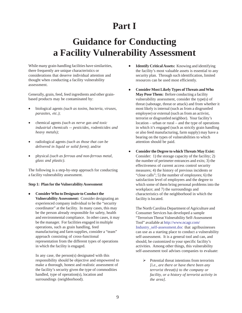#### **Part I**

#### **Guidance for Conducting a Facility Vulnerability Assessment**

While many grain-handling facilities have similarities, there frequently are unique characteristics or considerations that deserve individual attention and thought when conducting a facility vulnerability assessment.

Generally, grain, feed, feed ingredients and other grainbased products may be contaminated by:

- biological agents *(such as toxins, bacteria, viruses, parasites, etc.)*;
- chemical agents *(such as nerve gas and toxic industrial chemicals -- pesticides, rodenticides and heavy metals);*
- radiological agents *(such as those that can be delivered in liquid or solid form)*; and/or
- physical *(such as ferrous and non-ferrous metal, glass and plastic)*.

The following is a step-by-step approach for conducting a facility vulnerability assessment.

#### **Step 1: Plan for the Vulnerability Assessment**

• **Consider Who to Designate to Conduct the Vulnerability Assessment:** Consider designating an experienced company individual to be the "security coordinator" at the facility. In many cases, this may be the person already responsible for safety, health and environmental compliance. In other cases, it may be the manager. For facilities engaged in multiple operations, such as grain handling, feed manufacturing and farm supplies, consider a "team" approach consisting of cross-functional representation from the different types of operations in which the facility is engaged.

In any case, the person(s) designated with this responsibility should be objective and empowered to make a thorough, honest and realistic assessment of the facility's security given the type of commodities handled, type of operation(s), location and surroundings (neighborhood).

- **Identify Critical Assets:** Knowing and identifying the facility's most valuable assets is essential to any security plan. Through such identification, limited resources can be used most efficiently.
- **Consider Most Likely Types of Threats and Who May Pose Them:** Before conducting a facility vulnerability assessment, consider the type(s) of threat (sabotage, threat or attack) and from whether it most likely is internal (such as from a disgruntled employee) or external (such as from an activist, terrorist or disgruntled neighbor). Your facility's location – urban or rural – and the type of operations in which it's engaged (such as strictly grain handling or also feed manufacturing, farm supply) may have a bearing on the types of vulnerabilities to which attention should be paid.
- **Consider the Degree to which Threats May Exist:** Consider: 1) the storage capacity of the facility; 2) the number of perimeter entrances and exits; 3) the effectiveness of current access control security measures; 4) the history of previous incidents or "close calls"; 5) the number of employees; 6) the satisfaction level of employees and the degree to which some of them bring personal problems into the workplace; and 7) the surroundings and characteristics of the neighborhood in which the facility is located.

The North Carolina Department of Agriculture and Consumer Services has developed a sample "Terrorism Threat Vulnerability Self-Assessment Tool" available at http://www.ncagr.com/ Industry\_self-assessment.doc that agribusinesses can use as a starting place to conduct a vulnerability self-assessment. It is a general tool and can, and should, be customized to your specific facility's activities. Among other things, this vulnerability self-assessment tool advises companies to evaluate:

 $\triangleright$  Potential threat intentions from terrorists *[i.e., are there or have there been any terrorist threat(s) to the company or facility, or a history of terrorist activity in the area]*.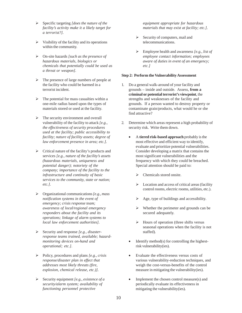- ¾ Specific targeting *[does the nature of the facility's activity make it a likely target for a terrorist?]*.
- $\triangleright$  Visibility of the facility and its operations within the community.
- ¾ On-site hazards *[such as the presence of hazardous materials, biologics or chemicals that potentially could be used as a threat or weapon]*.
- $\triangleright$  The presence of large numbers of people at the facility who could be harmed in a terrorist incident.
- $\triangleright$  The potential for mass casualties within a one-mile radius based upon the types of materials stored or used at the facility.
- $\triangleright$  The security environment and overall vulnerability of the facility to attack *[e.g., the effectiveness of security procedures used at the facility; public accessibility to facility; nature of facility assets; degree of law enforcement presence in area; etc.]*.
- $\triangleright$  Critical nature of the facility's products and services *[e.g., nature of the facility's assets (hazardous materials, uniqueness and potential danger); notoriety of the company; importance of the facility to the infrastructure and continuity of basic services to the community, state or nation; etc.]*.
- ¾ Organizational communications *[e.g., mass notification systems in the event of emergency; crisis response team; awareness of local/regional emergency responders about the facility and its operations; linkage of alarm systems to local law enforcement authorities]*.
- ¾ Security and response *[e.g., disasterresponse teams trained, available; hazardmonitoring devices on-hand and operational; etc.]*.
- ¾ Policy, procedures and plans *[e.g., crisis response/disaster plan in effect that addresses most likely threats (fire, explosion, chemical release, etc.)]*.
- ¾ Security equipment *[e.g., existence of a security/alarm system; availability of functioning personnel protective*

*equipment appropriate for hazardous materials that may exist at facility; etc.]*.

- $\triangleright$  Security of computers, mail and telecommunications.
- ¾ Employee health and awareness *[e.g., list of employee contact information; employees aware of duties in event of an emergency; etc.]*

#### **Step 2: Perform the Vulnerability Assessment**

- 1. Do a general walk-around of your facility and grounds – inside and outside. Assess, **from a criminal or potential terrorist's viewpoint**, the strengths and weaknesses of the facility and grounds. If a person wanted to destroy property or contaminate grain/products, what would he or she find attractive?
- 2. Determine which areas represent a high probability of security risk. Write them down.
	- A **tiered risk-based approach** probably is the most effective and efficient way to identify, evaluate and prioritize potential vulnerabilities. Consider developing a matrix that contains the most significant vulnerabilities and the frequency with which they could be breached. Special attention should be paid to:
		- Chemicals stored onsite.
		- $\triangleright$  Location and access of critical areas (facility control rooms, electric rooms, utilities, etc.).
		- $\triangleright$  Age, type of buildings and accessibility.
		- $\triangleright$  Whether the perimeter and grounds can be secured adequately.
		- $\triangleright$  Hours of operation (three shifts versus seasonal operations when the facility is not staffed).
	- Identify method(s) for controlling the highestrisk vulnerability(ies).
	- Evaluate the effectiveness versus costs of various vulnerability-reduction techniques, and weigh the cost-versus-benefits of the control measure in mitigating the vulnerability(ies).
	- Implement the chosen control measure(s) and periodically evaluate its effectiveness in mitigating the vulnerability(ies).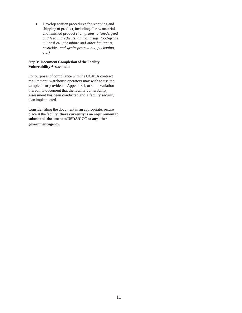• Develop written procedures for receiving and shipping of product, including all raw materials and finished product *(i.e., grains, oilseeds, feed and feed ingredients, animal drugs, food-grade mineral oil, phosphine and other fumigants, pesticides and grain protectants, packaging, etc.)*

#### **Step 3: Document Completion of the Facility Vulnerability Assessment**

For purposes of compliance with the UGRSA contract requirement, warehouse operators may wish to use the sample form provided in Appendix 1, or some variation thereof, to document that the facility vulnerability assessment has been conducted and a facility security plan implemented.

Consider filing the document in an appropriate, secure place at the facility; **there currently is no requirement to submit this document to USDA/CCC or any other government agency**.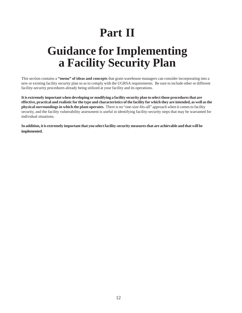# **Part II**

### **Guidance for Implementing a Facility Security Plan**

This section contains a **"menu" of ideas and concepts** that grain warehouse managers can consider incorporating into a new or existing facility security plan so as to comply with the UGRSA requirements. Be sure to include other or different facility-security procedures already being utilized at your facility and its operations.

**It is extremely important when developing or modifying a facility security plan to select those procedures that are effective, practical and realistic for the type and characteristics of the facility for which they are intended, as well as the physical surroundings in which the plant operates.** There is no "one-size-fits-all" approach when it comes to facility security, and the facility vulnerability assessment is useful in identifying facility-security steps that may be warranted for individual situations.

**In addition, it is extremely important that you select facility-security measures that are achievable and that will be implemented.**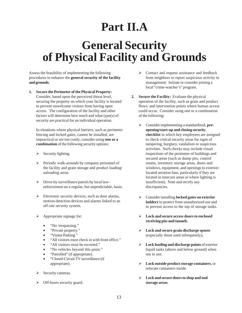### **Part II.A**

### **General Security of Physical Facility and Grounds**

Assess the feasibility of implementing the following procedures to enhance the **general security of the facility and grounds**:

**1. Secure the Perimeter of the Physical Property:** Consider, based upon the perceived threat level, securing the property on which your facility is located to prevent unwelcome visitors from having open access. The configuration of the facility and other factors will determine how much and what type(s) of security are practical for an individual operation.

In situations where physical barriers, such as perimeter fencing and locked gates, cannot be installed, are impractical or are too costly, consider using **one or a combination** of the following security options:

- $\triangleright$  Security lighting.
- ¾ Periodic walk-arounds by company personnel of the facility and grain storage and product loading/ unloading areas.
- ¾ Drive-by surveillance patrols by local lawenforcement on a regular, but unpredictable, basis.
- $\triangleright$  Electronic security devices, such as door alarms, motion-detection devices and alarms linked to an off-site security system.
- $\triangleright$  Appropriate signage for:
	- "No trespassing."
	- "Private property."
	- "Visitor Parking."
	- "All visitors must check in with front office."
	- "All visitors must be escorted."
	- "No vehicles beyond this point."
	- "Patrolled" (if appropriate).
	- "Closed-Circuit TV surveillance (if appropriate).
- $\triangleright$  Security cameras.
- $\triangleright$  Off-hours security guard.
- $\triangleright$  Contact and request assistance and feedback from neighbors to report suspicious activity to management. Initiate or consider joining a local "crime-watcher's" program.
- **2. Secure the Facility:** Evaluate the physical operation of the facility, such as grain and product flows, and intervention points where human access could occur. Consider using one or a combination of the following:
	- ¾ Consider implementing a standardized, **preopening/start-up and closing security checklist** in which key employees are assigned to check critical security areas for signs of tampering, burglary, vandalism or suspicious activities. Such checks may include visual inspections of the perimeter of buildings and secured areas (such as dump pits, control rooms, inventory storage areas, doors and windows, equipment, and openings to exteriorlocated aeration fans, particularly if they are located in insecure areas or where lighting is insufficient). Note and rectify any discrepancies.
	- ¾ Consider installing **locked gates on exterior ladders** to protect from unauthorized use and to prevent access to the top of storage tanks.
	- ¾ **Lock and secure access doors to enclosed receiving pits and tunnels**.
	- ¾ **Lock and secure grain discharge spouts** (especially those used infrequently)**.**
	- ¾ **Lock loading and discharge points** of exterior liquid tanks (above and below ground) when not in use.
	- ¾ **Lock outside product storage containers**, or relocate containers inside.
	- ¾ **Lock and secure doors to shop and tool storage areas**.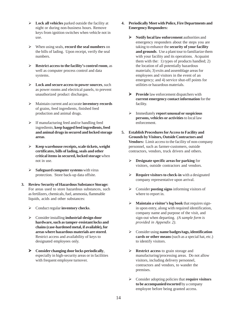- ¾ **Lock all vehicles** parked outside the facility at night or during non-business hours. Remove keys from ignition switches when vehicle not in use.
- ¾ When using seals, **record the seal numbers** on the bills of lading. Upon receipt, verify the seal numbers.
- ¾ **Restrict access to the facility's control room**, as well as computer process control and data systems.
- ¾ **Lock and secure access to power sources**, such as power rooms and electrical panels, to prevent unauthorized product discharges.
- ¾ Maintain current and accurate **inventory records** of grains, feed ingredients, finished feed production and animal drugs.
- $\triangleright$  If manufacturing feed and/or handling feed ingredients, **keep bagged feed ingredients, feed and animal drugs in secured and locked storage areas**.
- ¾ **Keep warehouse receipts, scale tickets, weight certificates, bills of lading, seals and other critical items in secured, locked storage** when not in use.
- ¾ **Safeguard computer systems** with virus protection. Store back-up data offsite.
- **3. Review Security of Hazardous Substance Storage:** For areas used to store hazardous substances, such as fertilizers, chemicals, fuel, ammonia, flammable liquids, acids and other substances:
	- ¾ Conduct regular **inventory checks**.
	- ¾ Consider installing **industrial-design door hardware, such as tamper-resistant locks and chains (case-hardened metal, if available), for areas where hazardous materials are stored**. Restrict access and availability of keys to designated employees only.
	- ¾ **Consider changing door locks periodically**, especially in high-security areas or in facilities with frequent employee turnover.
- **4. Periodically Meet with Police, Fire Departments and Emergency Responders:**
	- ¾ **Notify local law enforcement** authorities and emergency responders about the steps you are taking to enhance the **security of your facility and grounds**. Use a plant tour to familiarize them with your facility and its operations. Acquaint them with the: 1) types of products handled; 2) the location of all potentially hazardous materials; 3) exits and assemblage areas for employees and visitors in the event of an emergency; and 4) service shut-off points for utilities or hazardous materials.
	- ¾ **Provide** law enforcement dispatchers with **current emergency contact information** for the facility.
	- ¾ Immediately **report unusual or suspicious persons, vehicles or activities** to local law enforcement.
- **5. Establish Procedures for Access to Facility and Grounds by Visitors, Outside Contractors and Vendors:** Limit access to the facility of non-company personnel, such as farmer-customers, outside contractors, vendors, truck drivers and others.
	- ¾ **Designate specific areas for parking** for visitors, outside contractors and vendors.
	- ¾ **Require visitors to check-in** with a designated company representative upon arrival.
	- ¾ Consider **posting signs** informing visitors of where to report in.
	- ¾ **Maintain a visitor's log book** that requires signin upon entry, along with required identification, company name and purpose of the visit, and sign-out when departing. *(A sample form is provided in Appendix 2)*.
	- ¾ Consider using **name badges/tags, identification cards or other means** (such as a special hat, etc.) to identify visitors.
	- ¾ **Restrict access** to grain storage and manufacturing/processing areas. Do not allow visitors, including delivery personnel, contractors and vendors, to wander the premises.
	- ¾ Consider adopting policies that **require visitors to be accompanied/escorted** by a company employee before being granted access.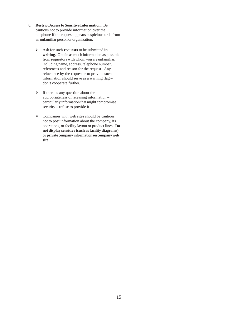- **6. Restrict Access to Sensitive Information:** Be cautious not to provide information over the telephone if the request appears suspicious or is from an unfamiliar person or organization.
	- ¾ Ask for such **requests** to be submitted **in writing**. Obtain as much information as possible from requestors with whom you are unfamiliar, including name, address, telephone number, references and reason for the request. Any reluctance by the requestor to provide such information should serve as a warning flag – don't cooperate further.
	- $\triangleright$  If there is any question about the appropriateness of releasing information – particularly information that might compromise security – refuse to provide it.
	- $\triangleright$  Companies with web sites should be cautious not to post information about the company, its operations, or facility layout or product lines. **Do not display sensitive (such as facility diagrams) or private company information on company web site**.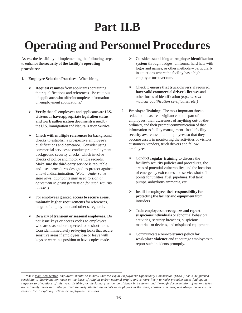# **Part II.B**

# **Operating and Personnel Procedures**

Assess the feasibility of implementing the following steps to enhance the **security of the facility's operating procedures**:

- **1. Employee Selection Practices:** When hiring:
	- ¾ **Request resumes** from applicants containing their qualifications and references. Be cautious of applicants who offer incomplete information on employment applications.<sup>1</sup>
	- ¾ **Verify** that all employees and applicants are **U.S. citizens or have appropriate legal alien status and work authorization documents** issued by the U.S. Immigration and Naturalization Service.
	- ¾ **Check with multiple references** for background checks to establish a prospective employee's qualifications and demeanor. Consider using commercial services to conduct pre-employment background security checks, which involve checks of police and motor vehicle records. Make sure the third-party service is reputable and uses procedures designed to protect against unlawful discrimination. *[Note: Under some state laws, applicants may need to sign an agreement to grant permission for such security checks.]*
	- ¾ For employees granted **access to secure areas, maintain higher requirements** for references, length of employment and other safeguards.
	- ¾ Be **wary of transient or seasonal employees**. Do not issue keys or access codes to employees who are seasonal or expected to be short-term. Consider immediately re-keying locks that secure sensitive areas if employees lose or leave with keys or were in a position to have copies made.
- ¾ Consider establishing an **employee identification system** through badges, uniforms, hard hats with logos and names, or other methods – particularly in situations where the facility has a high employee turnover rate.
- ¾ Check to **ensure that truck drivers**, if required, **have valid commercial driver's licenses** and other forms of identification *(e.g., current medical qualification certificates, etc.)*
- **2. Employee Training:** The most important threatreduction measure is vigilance on the part of employees, their awareness of anything out-of-theordinary, and their prompt communication of that information to facility management. Instill facility security awareness in all employees so that they become assets in monitoring the activities of visitors, customers, vendors, truck drivers and fellow employees.
	- ¾ Conduct **regular training** to discuss the facility's security policies and procedures, the areas of potential vulnerability, and the location of emergency exit routes and service shut-off points for utilities, fuel, pipelines, fuel tank pumps, anhydrous ammonia, etc.
	- ¾ Instill in employees their **responsibility for protecting the facility and equipment** from intruders.
	- ¾ Train employees to **recognize and report suspicious individuals** or abnormal behavior/ activities, security breaches, suspicious materials or devices, and misplaced equipment.
	- ¾ Communicate a zero**-tolerance policy for workplace violence** and encourage employees to report such incidents promptly.

<sup>&</sup>lt;sup>1</sup> From a <u>legal perspective</u>, employers should be mindful that the Equal Employment Opportunity Commission (EEOC) has a heightened *sensitivity to discrimination made on the basis of religion and/or national origin, and is more likely to make probable-cause findings in response to allegations of this type. In hiring or disciplinary action, consistency in treatment and thorough documentation of actions taken are extremely important. Always treat similarly situated applicants or employees in the same, consistent manner, and always document the reasons for disciplinary actions or employment decisions.*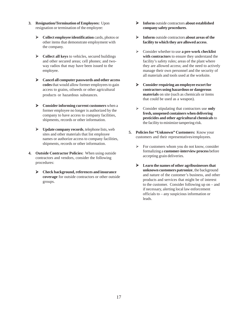- **3. Resignation/Termination of Employees:** Upon resignation or termination of the employee:
	- ¾ **Collect employee identification** cards, photos or other items that demonstrate employment with the company.
	- ¾ **Collect all keys** to vehicles, secured buildings and other secured areas; cell phones; and twoway radios that may have been issued to the employee.
	- ¾ **Cancel all computer passwords and other access codes** that would allow former employees to gain access to grains, oilseeds or other agricultural products or hazardous substances.
	- ¾ **Consider informing current customers** when a former employee no longer is authorized by the company to have access to company facilities, shipments, records or other information.
	- ¾ **Update company records**, telephone lists, web sites and other materials that list employee names or authorize access to company facilities, shipments, records or other information.
- **4. Outside Contractor Policies:** When using outside contractors and vendors, consider the following procedures:
	- ¾ **Check background, references and insurance coverage** for outside contractors or other outside groups.
- ¾ **Inform** outside contractors **about established company safety procedures**.
- ¾ **Inform** outside contractors **about areas of the facility to which they are allowed access**.
- ¾ Consider whether to use **a pre-work checklist with contractors** to ensure they understand the facility's safety rules; areas of the plant where they are allowed access; and the need to actively manage their own personnel and the security of all materials and tools used at the worksite.
- ¾ **Consider requiring an employee escort for contractors using hazardous or dangerous materials** on site (such as chemicals or items that could be used as a weapon).
- ¾ Consider stipulating that contractors use **only fresh, unopened containers when delivering pesticides and other agricultural chemicals** to the facility to minimize tampering risk.
- **5. Policies for "Unknown" Customers:** Know your customers and their representatives/employees.
	- $\triangleright$  For customers whom you do not know, consider formalizing a **customer-interview process** before accepting grain deliveries.
	- ¾ **Learn the names of other agribusinesses that unknown customers patronize**, the background and nature of the customer's business, and other products and services that might be of interest to the customer. Consider following up on – and if necessary, alerting local law enforcement officials to – any suspicious information or leads.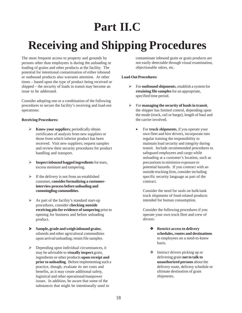### **Part II.C**

# **Receiving and Shipping Procedures**

The most frequent access to property and grounds by persons other than employees is during the unloading or loading of grains and other products at the facility. The potential for intentional contamination of either inbound or outbound products also warrants attention. At other times – based upon the type of product being received or shipped – the security of loads in transit may become an issue to be addressed.

Consider adopting one or a combination of the following procedures to secure the facility's receiving and load-out operations:

#### **Receiving Procedures:**

- ¾ **Know your suppliers**; periodically obtain certificates of analysis from new suppliers or those from which inferior product has been received. Visit new suppliers; request samples and review their security procedures for product handling and transport.
- ¾ **Inspect inbound bagged ingredients** for tears, excess moisture and tampering.
- $\triangleright$  If the delivery is not from an established customer, **consider formalizing a customerinterview process before unloading and commingling commodities**.
- $\triangleright$  As part of the facility's standard start-up procedures, consider **checking outside receiving pits for evidence of tampering** prior to opening for business and before unloading product.
- ¾ **Sample, grade and weigh inbound grains**, oilseeds and other agricultural commodities upon arrival/unloading; retain file samples.
- $\triangleright$  Depending upon individual circumstances, it may be advisable to **visually inspect** grain, ingredients or other products **upon receipt and prior to unloading**. Before implementing such a practice, though, evaluate its net costs and benefits, as it may create additional safety, logistical and other operational/manpower issues. In addition, be aware that some of the substances that might be intentionally used to

contaminate inbound grain or grain products are not easily detectable through visual examination, objectionable odors, etc.

#### **Load-Out Procedures:**

- ¾ For **outbound shipments**, establish a system for **retaining file samples** for an appropriate, specified time period.
- ¾ For **managing the security of loads in transit**, the shipper has limited control, depending upon the mode (truck, rail or barge), length of haul and the carrier involved.
	- For **truck shipments**, if you operate your own fleet and hire drivers, incorporate into regular training the responsibility to maintain load security and integrity during transit. Include recommended procedures to safeguard employees and cargo while unloading at a customer's location, such as precautions to minimize exposure to potential hazards. If you contract with an outside trucking firm, consider including specific security language as part of the contract.

Consider the need for seals on bulk/tank truck shipments of food-related products intended for human consumption.

Consider the following procedures if you operate your own truck fleet and crew of drivers:

- **Restrict access to delivery schedules, routes and destinations** to employees on a need-to-know basis.
- Instruct drivers picking up or delivering grain **not to talk to unauthorized persons** about the delivery route, delivery schedule or ultimate destination of grain shipments.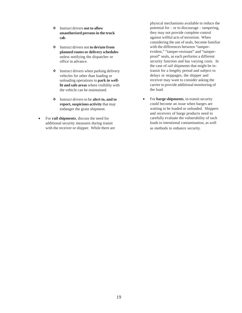- Instruct drivers **not to allow unauthorized persons in the truck cab**.
- Instruct drivers not **to deviate from planned routes or delivery schedules** unless notifying the dispatcher or office in advance.
- $\triangleleft$  Instruct drivers when parking delivery vehicles for other than loading or unloading operations to **park in welllit and safe areas** where visibility with the vehicle can be maintained.
- Instruct drivers to be **alert to, and to report, suspicious activity** that may endanger the grain shipment.
- For **rail shipments**, discuss the need for additional security measures during transit with the receiver or shipper. While there are

physical mechanisms available to reduce the potential for – or to discourage – tampering, they may not provide complete control against willful acts of terrorism. When considering the use of seals, become familiar with the differences between "tamperevident," "tamper-resistant" and "tamperproof" seals, as each performs a different security function and has varying costs. In the case of rail shipments that might be intransit for a lengthy period and subject to delays or stoppages, the shipper and receiver may want to consider asking the carrier to provide additional monitoring of the load.

• For **barge shipments**, in-transit security could become an issue when barges are waiting to be loaded or unloaded. Shippers and receivers of barge products need to carefully evaluate the vulnerability of such loads to intentional contamination, as well as methods to enhance security.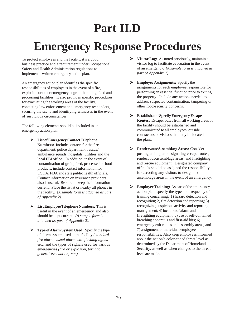### **Part II.D**

### **Emergency Response Procedures**

To protect employees and the facility, it's a good business practice and a requirement under Occupational Safety and Health Administration regulations to implement a written emergency action plan.

An emergency action plan identifies the specific responsibilities of employees in the event of a fire, explosion or other emergency at grain-handling, feed and processing facilities. It also provides specific procedures for evacuating the working areas of the facility, contacting law enforcement and emergency responders, securing the scene and identifying witnesses in the event of suspicious circumstances.

The following elements should be included in an emergency action plan:

- ¾ **List of Emergency Contact Telephone Numbers:** Include contacts for the fire department, police department, rescue/ ambulance squads, hospitals, utilities and the local FBI office. In addition, in the event of contamination of grain, feed, processed or food products, include contact information for USDA, FDA and state public health officials. Contact information on insurance providers also is useful. Be sure to keep the information current. Place the list at or nearby all phones in the facility. *(A sample form is attached as part of Appendix 2)*.
- ¾ **List Employee Telephone Numbers:** This is useful in the event of an emergency, and also should be kept current. *(A sample form is attached as part of Appendix 2)*.
- ¾ **Type of Alarm System Used:** Specify the type of alarm system used at the facility *(standard fire alarm, visual alarm with flashing lights, etc.)* and the types of signals used for various emergencies *(fire or explosion, tornado, general evacuation, etc.)*
- ¾ **Visitor Log:** As noted previously, maintain a visitor log to facilitate evacuation in the event of an emergency. *(A sample form is attached as part of Appendix 2)*.
- ¾ **Employee Assignments:** Specify the assignments for each employee responsible for performing an essential function prior to exiting the property. Include any actions needed to address suspected contamination, tampering or other food-security concerns.
- ¾ **Establish and Specify Emergency Escape Routes:** Escape routes from all working areas of the facility should be established and communicated to all employees, outside contractors or visitors that may be located at the plant.
- ¾ **Rendezvous/Assemblage Areas:** Consider posting a site plan designating escape routes, rendezvous/assemblage areas, and firefighting and rescue equipment. Designated company officials should be assigned the responsibility for escorting any visitors to designated assemblage areas in the event of an emergency.
- ¾ **Employee Training:** As part of the emergency action plan, specify the type and frequency of training concerning: 1) hazard detection and recognition; 2) fire detection and reporting; 3) recognizing suspicious activity and reporting to management; 4) location of alarm and firefighting equipment; 5) use of self-contained breathing apparatus and first-aid kits; 6) emergency exit routes and assembly areas; and 7) assignment of individual employee responsibilities. Also keep employees informed about the nation's color-coded threat level as determined by the Department of Homeland Security, as well as when changes to the threat level are made.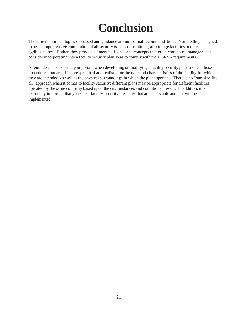## **Conclusion**

The aforementioned topics discussed and guidance are **not** formal recommendations. Nor are they designed to be a comprehensive compilation of all security issues confronting grain storage facilities or other agribusinesses. Rather, they provide a "menu" of ideas and concepts that grain warehouse managers can consider incorporating into a facility security plan so as to comply with the UGRSA requirements.

A reminder: It is extremely important when developing or modifying a facility security plan to select those procedures that are effective, practical and realistic for the type and characteristics of the facility for which they are intended, as well as the physical surroundings in which the plant operates. There is no "one-size-fitsall" approach when it comes to facility security; different plans may be appropriate for different facilities operated by the same company based upon the circumstances and conditions present. In addition, it is extremely important that you select facility-security measures that are achievable and that will be implemented.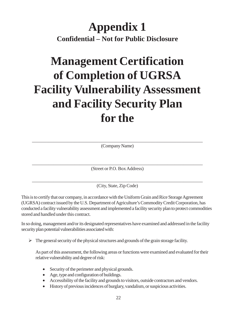#### **Appendix 1 Confidential – Not for Public Disclosure**

# **Management Certification of Completion of UGRSA Facility Vulnerability Assessment and Facility Security Plan for the**

\_\_\_\_\_\_\_\_\_\_\_\_\_\_\_\_\_\_\_\_\_\_\_\_\_\_\_\_\_\_\_\_\_\_\_\_\_\_\_\_\_\_\_\_\_\_\_\_\_\_\_\_\_\_\_\_\_\_\_\_\_\_\_\_\_\_\_\_\_\_\_\_ (Company Name)

\_\_\_\_\_\_\_\_\_\_\_\_\_\_\_\_\_\_\_\_\_\_\_\_\_\_\_\_\_\_\_\_\_\_\_\_\_\_\_\_\_\_\_\_\_\_\_\_\_\_\_\_\_\_\_\_\_\_\_\_\_\_\_\_\_\_\_\_\_\_\_\_ (Street or P.O. Box Address)

\_\_\_\_\_\_\_\_\_\_\_\_\_\_\_\_\_\_\_\_\_\_\_\_\_\_\_\_\_\_\_\_\_\_\_\_\_\_\_\_\_\_\_\_\_\_\_\_\_\_\_\_\_\_\_\_\_\_\_\_\_\_\_\_\_\_\_\_\_\_\_\_ (City, State, Zip Code)

This is to certify that our company, in accordance with the Uniform Grain and Rice Storage Agreement (UGRSA) contract issued by the U.S. Department of Agriculture's Commodity Credit Corporation, has conducted a facility vulnerability assessment and implemented a facility security plan to protect commodities stored and handled under this contract.

In so doing, management and/or its designated representatives have examined and addressed in the facility security plan potential vulnerabilities associated with:

 $\triangleright$  The general security of the physical structures and grounds of the grain storage facility.

As part of this assessment, the following areas or functions were examined and evaluated for their relative vulnerability and degree of risk:

- Security of the perimeter and physical grounds.
- Age, type and configuration of buildings.
- Accessibility of the facility and grounds to visitors, outside contractors and vendors.
- History of previous incidences of burglary, vandalism, or suspicious activities.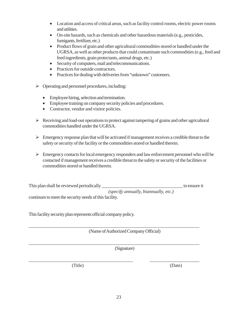- Location and access of critical areas, such as facility control rooms, electric power rooms and utilities.
- On-site hazards, such as chemicals and other hazardous materials (e.g., pesticides, fumigants, fertilizer, etc.)
- Product flows of grain and other agricultural commodities stored or handled under the UGRSA, as well as other products that could contaminate such commodities (e.g., feed and feed ingredients, grain protectants, animal drugs, etc.)
- Security of computers, mail and telecommunications.
- Practices for outside contractors.
- Practices for dealing with deliveries from "unknown" customers.
- $\triangleright$  Operating and personnel procedures, including:
	- Employee hiring, selection and termination.
	- Employee training on company security policies and procedures.
	- Contractor, vendor and visitor policies.
- $\triangleright$  Receiving and load-out operations to protect against tampering of grains and other agricultural commodities handled under the UGRSA.
- $\triangleright$  Emergency response plan that will be activated if management receives a credible threat to the safety or security of the facility or the commodities stored or handled therein.
- $\triangleright$  Emergency contacts for local emergency responders and law enforcement personnel who will be contacted if management receives a credible threat to the safety or security of the facilities or commodities stored or handled therein.

This plan shall be reviewed periodically to ensure it  *(specify annually, biannually, etc.)* continues to meet the security needs of this facility.

\_\_\_\_\_\_\_\_\_\_\_\_\_\_\_\_\_\_\_\_\_\_\_\_\_\_\_\_\_\_\_\_\_\_\_\_\_\_\_\_\_\_\_\_\_\_\_\_\_\_\_\_\_\_\_\_\_\_\_\_\_\_\_\_\_\_\_\_\_\_\_\_

\_\_\_\_\_\_\_\_\_\_\_\_\_\_\_\_\_\_\_\_\_\_\_\_\_\_\_\_\_\_\_\_\_\_\_\_\_\_\_\_\_\_\_\_\_\_\_\_\_\_\_\_\_\_\_\_\_\_\_\_\_\_\_\_\_\_\_\_\_\_\_\_

\_\_\_\_\_\_\_\_\_\_\_\_\_\_\_\_\_\_\_\_\_\_\_\_\_\_\_\_\_\_\_\_\_\_\_\_\_\_\_\_\_\_\_\_ \_\_\_\_\_\_\_\_\_\_\_\_\_\_\_\_\_\_\_\_\_

This facility security plan represents official company policy.

(Name of Authorized Company Official)

(Signature)

(Title) (Date)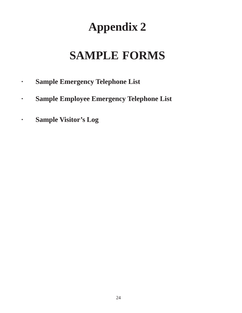# **Appendix 2**

# **SAMPLE FORMS**

- **· Sample Emergency Telephone List**
- **· Sample Employee Emergency Telephone List**
- **· Sample Visitor's Log**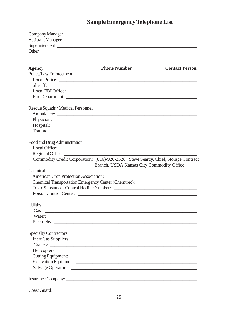#### **Sample Emergency Telephone List**

| Company Manager<br><u>Leadenborne and the company Manager</u> |                                                                                    |                       |
|---------------------------------------------------------------|------------------------------------------------------------------------------------|-----------------------|
| Assistant Manager                                             |                                                                                    |                       |
| Superintendent                                                |                                                                                    |                       |
|                                                               |                                                                                    |                       |
| <b>Agency</b>                                                 | <b>Phone Number</b>                                                                | <b>Contact Person</b> |
| Police/Law Enforcement                                        |                                                                                    |                       |
|                                                               |                                                                                    |                       |
|                                                               | Sheriff:                                                                           |                       |
|                                                               |                                                                                    |                       |
|                                                               |                                                                                    |                       |
| Rescue Squads / Medical Personnel                             |                                                                                    |                       |
|                                                               |                                                                                    |                       |
|                                                               |                                                                                    |                       |
|                                                               |                                                                                    |                       |
|                                                               |                                                                                    |                       |
| Food and Drug Administration                                  |                                                                                    |                       |
|                                                               |                                                                                    |                       |
| Regional Office:                                              |                                                                                    |                       |
|                                                               | Commodity Credit Corporation: (816)-926-2528 Steve Searcy, Chief, Storage Contract |                       |
|                                                               | Branch, USDA Kansas City Commodity Office                                          |                       |
| Chemical                                                      |                                                                                    |                       |
|                                                               |                                                                                    |                       |
|                                                               | Chemical Transportation Emergency Center (Chemtrec): ___________________________   |                       |
|                                                               | Toxic Substances Control Hotline Number:                                           |                       |
|                                                               |                                                                                    |                       |
| <b>Utilities</b>                                              |                                                                                    |                       |
| Gas:                                                          |                                                                                    |                       |
|                                                               |                                                                                    |                       |
|                                                               |                                                                                    |                       |
| <b>Specialty Contractors</b>                                  |                                                                                    |                       |
|                                                               |                                                                                    |                       |
|                                                               |                                                                                    |                       |
|                                                               |                                                                                    |                       |
|                                                               |                                                                                    |                       |
|                                                               |                                                                                    |                       |
|                                                               |                                                                                    |                       |
|                                                               |                                                                                    |                       |
|                                                               |                                                                                    |                       |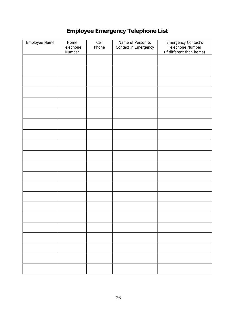#### **Employee Emergency Telephone List**

| Employee Name<br>Home<br>Telephone<br>Number |  | Cell<br>Phone | Name of Person to<br>Contact in Emergency | Emergency Contact's<br>Telephone Number<br>(if different than home) |  |  |  |  |
|----------------------------------------------|--|---------------|-------------------------------------------|---------------------------------------------------------------------|--|--|--|--|
|                                              |  |               |                                           |                                                                     |  |  |  |  |
|                                              |  |               |                                           |                                                                     |  |  |  |  |
|                                              |  |               |                                           |                                                                     |  |  |  |  |
|                                              |  |               |                                           |                                                                     |  |  |  |  |
|                                              |  |               |                                           |                                                                     |  |  |  |  |
|                                              |  |               |                                           |                                                                     |  |  |  |  |
|                                              |  |               |                                           |                                                                     |  |  |  |  |
|                                              |  |               |                                           |                                                                     |  |  |  |  |
|                                              |  |               |                                           |                                                                     |  |  |  |  |
|                                              |  |               |                                           |                                                                     |  |  |  |  |
|                                              |  |               |                                           |                                                                     |  |  |  |  |
|                                              |  |               |                                           |                                                                     |  |  |  |  |
|                                              |  |               |                                           |                                                                     |  |  |  |  |
|                                              |  |               |                                           |                                                                     |  |  |  |  |
|                                              |  |               |                                           |                                                                     |  |  |  |  |
|                                              |  |               |                                           |                                                                     |  |  |  |  |
|                                              |  |               |                                           |                                                                     |  |  |  |  |
|                                              |  |               |                                           |                                                                     |  |  |  |  |
|                                              |  |               |                                           |                                                                     |  |  |  |  |
|                                              |  |               |                                           |                                                                     |  |  |  |  |
|                                              |  |               |                                           |                                                                     |  |  |  |  |